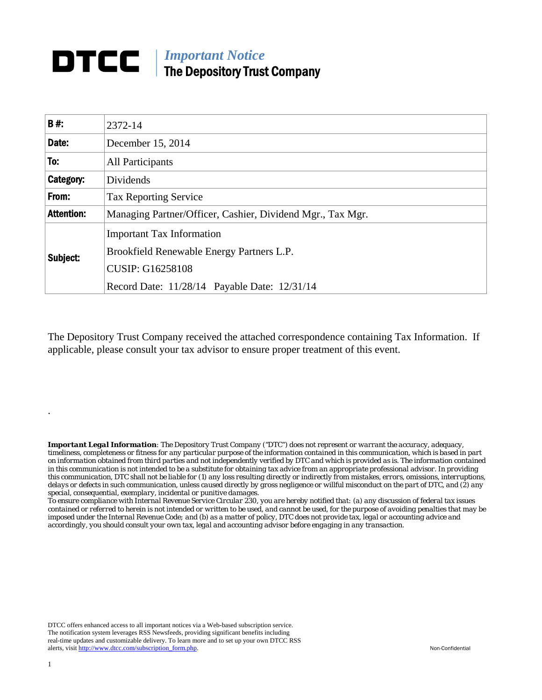### *Important Notice*  DTCC | The Depository Trust Company

| <b>B#:</b>        | 2372-14                                                                                                                                                  |  |  |  |
|-------------------|----------------------------------------------------------------------------------------------------------------------------------------------------------|--|--|--|
| Date:             | December 15, 2014                                                                                                                                        |  |  |  |
| To:               | <b>All Participants</b>                                                                                                                                  |  |  |  |
| Category:         | Dividends                                                                                                                                                |  |  |  |
| From:             | <b>Tax Reporting Service</b>                                                                                                                             |  |  |  |
| <b>Attention:</b> | Managing Partner/Officer, Cashier, Dividend Mgr., Tax Mgr.                                                                                               |  |  |  |
| Subject:          | <b>Important Tax Information</b><br>Brookfield Renewable Energy Partners L.P.<br><b>CUSIP: G16258108</b><br>Record Date: 11/28/14 Payable Date: 12/31/14 |  |  |  |

The Depository Trust Company received the attached correspondence containing Tax Information. If applicable, please consult your tax advisor to ensure proper treatment of this event.

*Important Legal Information: The Depository Trust Company ("DTC") does not represent or warrant the accuracy, adequacy, timeliness, completeness or fitness for any particular purpose of the information contained in this communication, which is based in part on information obtained from third parties and not independently verified by DTC and which is provided as is. The information contained in this communication is not intended to be a substitute for obtaining tax advice from an appropriate professional advisor. In providing this communication, DTC shall not be liable for (1) any loss resulting directly or indirectly from mistakes, errors, omissions, interruptions, delays or defects in such communication, unless caused directly by gross negligence or willful misconduct on the part of DTC, and (2) any special, consequential, exemplary, incidental or punitive damages.* 

*To ensure compliance with Internal Revenue Service Circular 230, you are hereby notified that: (a) any discussion of federal tax issues contained or referred to herein is not intended or written to be used, and cannot be used, for the purpose of avoiding penalties that may be imposed under the Internal Revenue Code; and (b) as a matter of policy, DTC does not provide tax, legal or accounting advice and accordingly, you should consult your own tax, legal and accounting advisor before engaging in any transaction.*

DTCC offers enhanced access to all important notices via a Web-based subscription service. The notification system leverages RSS Newsfeeds, providing significant benefits including real-time updates and customizable delivery. To learn more and to set up your own DTCC RSS alerts, visit http://www.dtcc.com/subscription\_form.php. Non-Confidential

.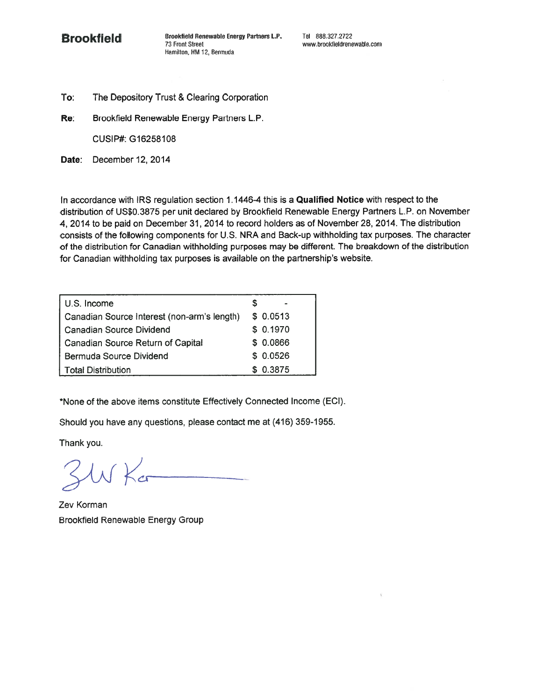

To: The Depository Trust & Clearing Corporation

Brookfield Renewable Energy Partners L.P. Re:

CUSIP#: G16258108

Date: December 12, 2014

In accordance with IRS regulation section 1.1446-4 this is a Qualified Notice with respect to the distribution of US\$0.3875 per unit declared by Brookfield Renewable Energy Partners L.P. on November 4, 2014 to be paid on December 31, 2014 to record holders as of November 28, 2014. The distribution consists of the following components for U.S. NRA and Back-up withholding tax purposes. The character of the distribution for Canadian withholding purposes may be different. The breakdown of the distribution for Canadian withholding tax purposes is available on the partnership's website.

| U.S. Income                                 |           |
|---------------------------------------------|-----------|
| Canadian Source Interest (non-arm's length) | \$ 0.0513 |
| Canadian Source Dividend                    | \$0.1970  |
| Canadian Source Return of Capital           | \$0.0866  |
| Bermuda Source Dividend                     | \$0.0526  |
| Total Distribution                          | \$0.3875  |

\*None of the above items constitute Effectively Connected Income (ECI).

Should you have any questions, please contact me at (416) 359-1955.

Thank you.

SW Kar

Zev Korman **Brookfield Renewable Energy Group**